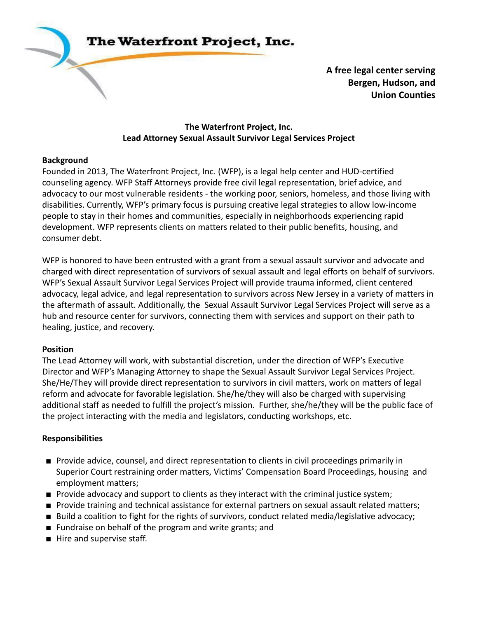

**A free legal center serving Bergen, Hudson, and Union Counties**

#### **The Waterfront Project, Inc. Lead Attorney Sexual Assault Survivor Legal Services Project**

## **Background**

Founded in 2013, The Waterfront Project, Inc. (WFP), is a legal help center and HUD-certified counseling agency. WFP Staff Attorneys provide free civil legal representation, brief advice, and advocacy to our most vulnerable residents - the working poor, seniors, homeless, and those living with disabilities. Currently, WFP's primary focus is pursuing creative legal strategies to allow low-income people to stay in their homes and communities, especially in neighborhoods experiencing rapid development. WFP represents clients on matters related to their public benefits, housing, and consumer debt.

WFP is honored to have been entrusted with a grant from a sexual assault survivor and advocate and charged with direct representation of survivors of sexual assault and legal efforts on behalf of survivors. WFP's Sexual Assault Survivor Legal Services Project will provide trauma informed, client centered advocacy, legal advice, and legal representation to survivors across New Jersey in a variety of matters in the aftermath of assault. Additionally, the Sexual Assault Survivor Legal Services Project will serve as a hub and resource center for survivors, connecting them with services and support on their path to healing, justice, and recovery.

#### **Position**

The Lead Attorney will work, with substantial discretion, under the direction of WFP's Executive Director and WFP's Managing Attorney to shape the Sexual Assault Survivor Legal Services Project. She/He/They will provide direct representation to survivors in civil matters, work on matters of legal reform and advocate for favorable legislation. She/he/they will also be charged with supervising additional staff as needed to fulfill the project's mission. Further, she/he/they will be the public face of the project interacting with the media and legislators, conducting workshops, etc.

## **Responsibilities**

- Provide advice, counsel, and direct representation to clients in civil proceedings primarily in Superior Court restraining order matters, Victims' Compensation Board Proceedings, housing and employment matters;
- Provide advocacy and support to clients as they interact with the criminal justice system;
- Provide training and technical assistance for external partners on sexual assault related matters;
- Build a coalition to fight for the rights of survivors, conduct related media/legislative advocacy;
- Fundraise on behalf of the program and write grants; and
- Hire and supervise staff.